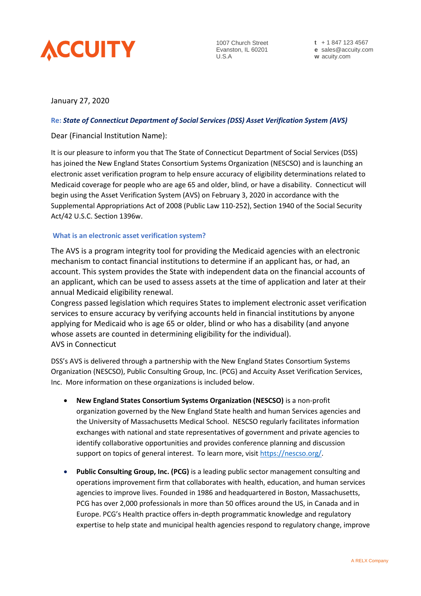

1007 Church Street Evanston, IL 60201 U.S.A

**t** + 1 847 123 4567 **e** sales@accuity.com **w** acuity.com

# January 27, 2020

# **Re:** *State of Connecticut Department of Social Services (DSS) Asset Verification System (AVS)*

Dear (Financial Institution Name):

It is our pleasure to inform you that The State of Connecticut Department of Social Services (DSS) has joined the New England States Consortium Systems Organization (NESCSO) and is launching an electronic asset verification program to help ensure accuracy of eligibility determinations related to Medicaid coverage for people who are age 65 and older, blind, or have a disability. Connecticut will begin using the Asset Verification System (AVS) on February 3, 2020 in accordance with the Supplemental Appropriations Act of 2008 (Public Law 110-252), Section 1940 of the Social Security Act/42 U.S.C. Section 1396w.

### **What is an electronic asset verification system?**

The AVS is a program integrity tool for providing the Medicaid agencies with an electronic mechanism to contact financial institutions to determine if an applicant has, or had, an account. This system provides the State with independent data on the financial accounts of an applicant, which can be used to assess assets at the time of application and later at their annual Medicaid eligibility renewal.

Congress passed legislation which requires States to implement electronic asset verification services to ensure accuracy by verifying accounts held in financial institutions by anyone applying for Medicaid who is age 65 or older, blind or who has a disability (and anyone whose assets are counted in determining eligibility for the individual). AVS in Connecticut

DSS's AVS is delivered through a partnership with the New England States Consortium Systems Organization (NESCSO), Public Consulting Group, Inc. (PCG) and Accuity Asset Verification Services, Inc. More information on these organizations is included below.

- **New England States Consortium Systems Organization (NESCSO)** is a non-profit organization governed by the New England State health and human Services agencies and the University of Massachusetts Medical School. NESCSO regularly facilitates information exchanges with national and state representatives of government and private agencies to identify collaborative opportunities and provides conference planning and discussion support on topics of general interest. To learn more, visi[t https://nescso.org/.](https://nescso.org/)
- **Public Consulting Group, Inc. (PCG)** is a leading public sector management consulting and operations improvement firm that collaborates with health, education, and human services agencies to improve lives. Founded in 1986 and headquartered in Boston, Massachusetts, PCG has over 2,000 professionals in more than 50 offices around the US, in Canada and in Europe. PCG's Health practice offers in-depth programmatic knowledge and regulatory expertise to help state and municipal health agencies respond to regulatory change, improve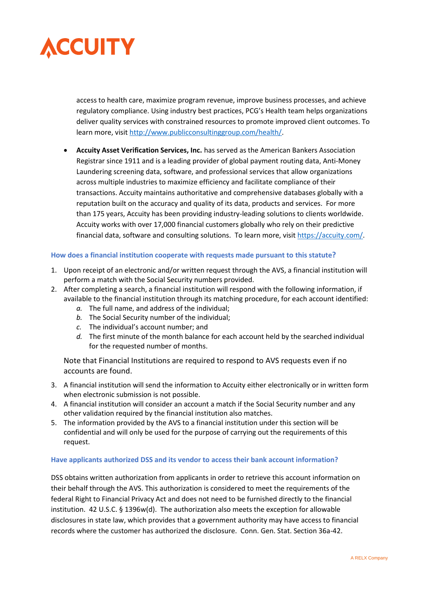

access to health care, maximize program revenue, improve business processes, and achieve regulatory compliance. Using industry best practices, PCG's Health team helps organizations deliver quality services with constrained resources to promote improved client outcomes. To learn more, visit [http://www.publicconsultinggroup.com/health/.](http://www.publicconsultinggroup.com/health/)

**• Accuity Asset Verification Services, Inc.** has served as the American Bankers Association Registrar since 1911 and is a leading provider of global payment routing data, Anti-Money Laundering screening data, software, and professional services that allow organizations across multiple industries to maximize efficiency and facilitate compliance of their transactions. Accuity maintains authoritative and comprehensive databases globally with a reputation built on the accuracy and quality of its data, products and services. For more than 175 years, Accuity has been providing industry-leading solutions to clients worldwide. Accuity works with over 17,000 financial customers globally who rely on their predictive financial data, software and consulting solutions. To learn more, visit [https://accuity.com/.](https://accuity.com/)

# **How does a financial institution cooperate with requests made pursuant to this statute?**

- 1. Upon receipt of an electronic and/or written request through the AVS, a financial institution will perform a match with the Social Security numbers provided.
- 2. After completing a search, a financial institution will respond with the following information, if available to the financial institution through its matching procedure, for each account identified:
	- *a.* The full name, and address of the individual;
	- *b.* The Social Security number of the individual;
	- *c.* The individual's account number; and
	- *d.* The first minute of the month balance for each account held by the searched individual for the requested number of months.

Note that Financial Institutions are required to respond to AVS requests even if no accounts are found.

- 3. A financial institution will send the information to Accuity either electronically or in written form when electronic submission is not possible.
- 4. A financial institution will consider an account a match if the Social Security number and any other validation required by the financial institution also matches.
- 5. The information provided by the AVS to a financial institution under this section will be confidential and will only be used for the purpose of carrying out the requirements of this request.

#### **Have applicants authorized DSS and its vendor to access their bank account information?**

DSS obtains written authorization from applicants in order to retrieve this account information on their behalf through the AVS. This authorization is considered to meet the requirements of the federal Right to Financial Privacy Act and does not need to be furnished directly to the financial institution. 42 U.S.C. § 1396w(d). The authorization also meets the exception for allowable disclosures in state law, which provides that a government authority may have access to financial records where the customer has authorized the disclosure. Conn. Gen. Stat. Section 36a-42.